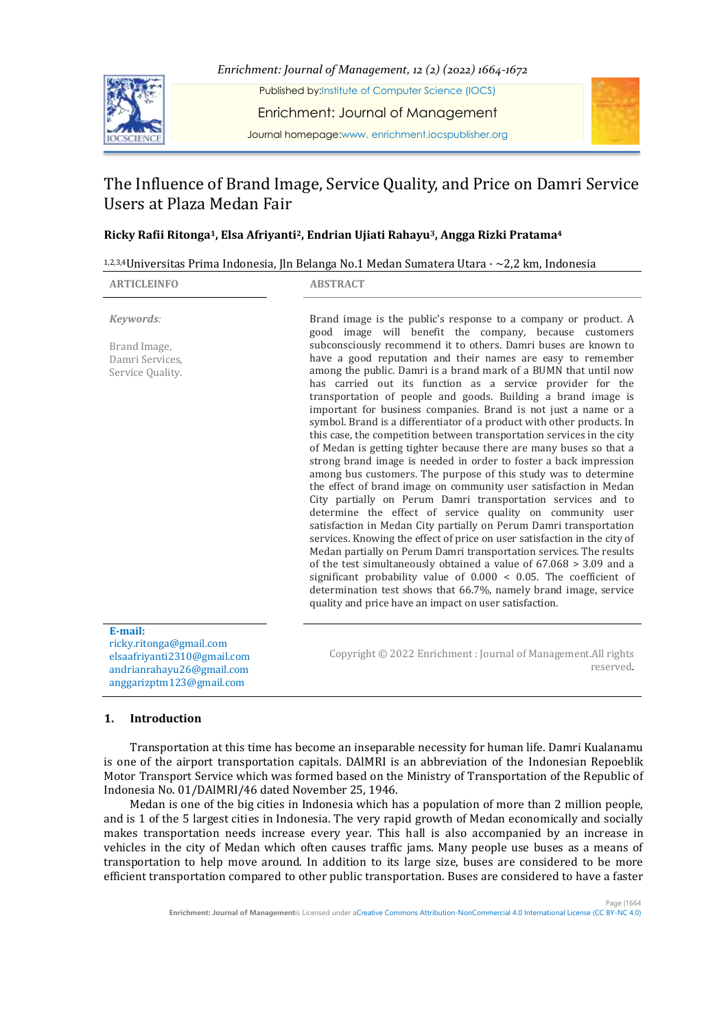



# The Influence of Brand Image, Service Quality, and Price on Damri Service Users at Plaza Medan Fair

# **Ricky Rafii Ritonga1, Elsa Afriyanti2, Endrian Ujiati Rahayu3, Angga Rizki Pratama<sup>4</sup>**

| <sup>1,2,3,4</sup> Universitas Prima Indonesia, Jln Belanga No.1 Medan Sumatera Utara $\cdot \sim$ 2,2 km, Indonesia |  |  |
|----------------------------------------------------------------------------------------------------------------------|--|--|
|                                                                                                                      |  |  |

| <b>ARTICLEINFO</b>                                                                                                         | <b>ABSTRACT</b>                                                                                                                                                                                                                                                                                                                                                                                                                                                                                                                                                                                                                                                                                                                                                                                                                                                                                                                                                                                                                                                                                                                                                                                                                                                                                                                                                                                                                                                                                                                                                                                               |
|----------------------------------------------------------------------------------------------------------------------------|---------------------------------------------------------------------------------------------------------------------------------------------------------------------------------------------------------------------------------------------------------------------------------------------------------------------------------------------------------------------------------------------------------------------------------------------------------------------------------------------------------------------------------------------------------------------------------------------------------------------------------------------------------------------------------------------------------------------------------------------------------------------------------------------------------------------------------------------------------------------------------------------------------------------------------------------------------------------------------------------------------------------------------------------------------------------------------------------------------------------------------------------------------------------------------------------------------------------------------------------------------------------------------------------------------------------------------------------------------------------------------------------------------------------------------------------------------------------------------------------------------------------------------------------------------------------------------------------------------------|
| Keywords:<br>Brand Image,<br>Damri Services.<br>Service Quality.                                                           | Brand image is the public's response to a company or product. A<br>good image will benefit the company, because customers<br>subconsciously recommend it to others. Damri buses are known to<br>have a good reputation and their names are easy to remember<br>among the public. Damri is a brand mark of a BUMN that until now<br>has carried out its function as a service provider for the<br>transportation of people and goods. Building a brand image is<br>important for business companies. Brand is not just a name or a<br>symbol. Brand is a differentiator of a product with other products. In<br>this case, the competition between transportation services in the city<br>of Medan is getting tighter because there are many buses so that a<br>strong brand image is needed in order to foster a back impression<br>among bus customers. The purpose of this study was to determine<br>the effect of brand image on community user satisfaction in Medan<br>City partially on Perum Damri transportation services and to<br>determine the effect of service quality on community user<br>satisfaction in Medan City partially on Perum Damri transportation<br>services. Knowing the effect of price on user satisfaction in the city of<br>Medan partially on Perum Damri transportation services. The results<br>of the test simultaneously obtained a value of $67.068 > 3.09$ and a<br>significant probability value of $0.000 < 0.05$ . The coefficient of<br>determination test shows that 66.7%, namely brand image, service<br>quality and price have an impact on user satisfaction. |
| E-mail:<br>ricky.ritonga@gmail.com<br>elsaafriyanti2310@gmail.com<br>andrianrahayu26@gmail.com<br>anggarizptm123@gmail.com | Copyright © 2022 Enrichment: Journal of Management.All rights<br>reserved.                                                                                                                                                                                                                                                                                                                                                                                                                                                                                                                                                                                                                                                                                                                                                                                                                                                                                                                                                                                                                                                                                                                                                                                                                                                                                                                                                                                                                                                                                                                                    |

## **1. Introduction**

Transportation at this time has become an inseparable necessity for human life. Damri Kualanamu is one of the airport transportation capitals. DAlMRI is an abbreviation of the Indonesian Repoeblik Motor Transport Service which was formed based on the Ministry of Transportation of the Republic of Indonesia No. 01/DAlMRI/46 dated November 25, 1946.

Medan is one of the big cities in Indonesia which has a population of more than 2 million people, and is 1 of the 5 largest cities in Indonesia. The very rapid growth of Medan economically and socially makes transportation needs increase every year. This hall is also accompanied by an increase in vehicles in the city of Medan which often causes traffic jams. Many people use buses as a means of transportation to help move around. In addition to its large size, buses are considered to be more efficient transportation compared to other public transportation. Buses are considered to have a faster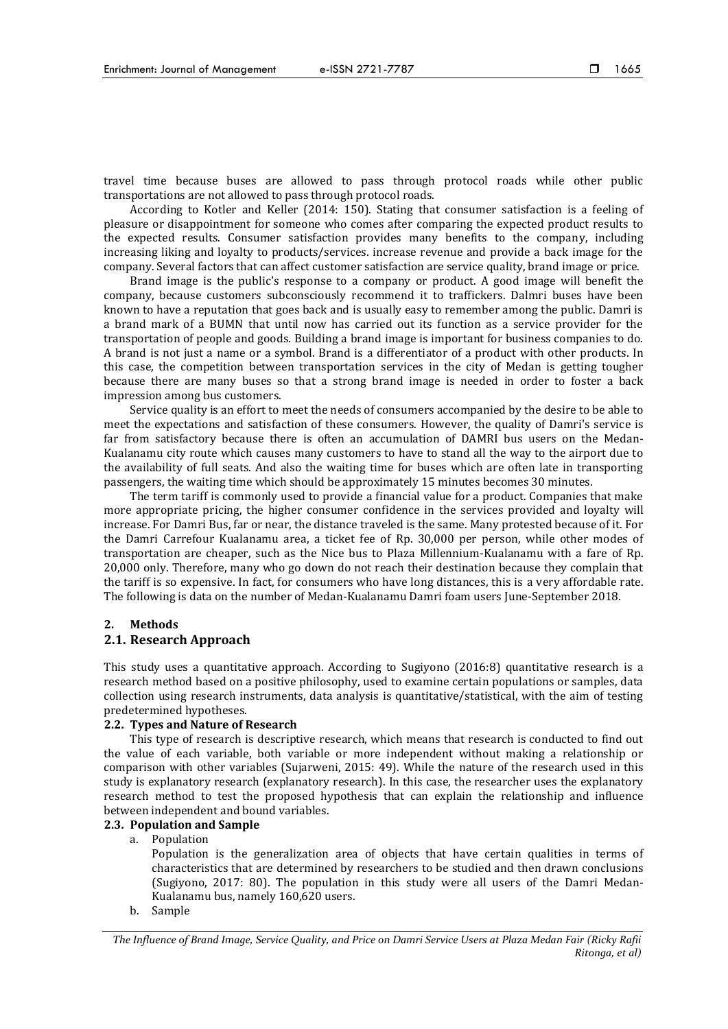travel time because buses are allowed to pass through protocol roads while other public transportations are not allowed to pass through protocol roads.

According to Kotler and Keller (2014: 150). Stating that consumer satisfaction is a feeling of pleasure or disappointment for someone who comes after comparing the expected product results to the expected results. Consumer satisfaction provides many benefits to the company, including increasing liking and loyalty to products/services. increase revenue and provide a back image for the company. Several factors that can affect customer satisfaction are service quality, brand image or price.

Brand image is the public's response to a company or product. A good image will benefit the company, because customers subconsciously recommend it to traffickers. Dalmri buses have been known to have a reputation that goes back and is usually easy to remember among the public. Damri is a brand mark of a BUMN that until now has carried out its function as a service provider for the transportation of people and goods. Building a brand image is important for business companies to do. A brand is not just a name or a symbol. Brand is a differentiator of a product with other products. In this case, the competition between transportation services in the city of Medan is getting tougher because there are many buses so that a strong brand image is needed in order to foster a back impression among bus customers.

Service quality is an effort to meet the needs of consumers accompanied by the desire to be able to meet the expectations and satisfaction of these consumers. However, the quality of Damri's service is far from satisfactory because there is often an accumulation of DAMRI bus users on the Medan-Kualanamu city route which causes many customers to have to stand all the way to the airport due to the availability of full seats. And also the waiting time for buses which are often late in transporting passengers, the waiting time which should be approximately 15 minutes becomes 30 minutes.

The term tariff is commonly used to provide a financial value for a product. Companies that make more appropriate pricing, the higher consumer confidence in the services provided and loyalty will increase. For Damri Bus, far or near, the distance traveled is the same. Many protested because of it. For the Damri Carrefour Kualanamu area, a ticket fee of Rp. 30,000 per person, while other modes of transportation are cheaper, such as the Nice bus to Plaza Millennium-Kualanamu with a fare of Rp. 20,000 only. Therefore, many who go down do not reach their destination because they complain that the tariff is so expensive. In fact, for consumers who have long distances, this is a very affordable rate. The following is data on the number of Medan-Kualanamu Damri foam users June-September 2018.

#### **2. Methods**

## **2.1. Research Approach**

This study uses a quantitative approach. According to Sugiyono (2016:8) quantitative research is a research method based on a positive philosophy, used to examine certain populations or samples, data collection using research instruments, data analysis is quantitative/statistical, with the aim of testing predetermined hypotheses.

## **2.2. Types and Nature of Research**

This type of research is descriptive research, which means that research is conducted to find out the value of each variable, both variable or more independent without making a relationship or comparison with other variables (Sujarweni, 2015: 49). While the nature of the research used in this study is explanatory research (explanatory research). In this case, the researcher uses the explanatory research method to test the proposed hypothesis that can explain the relationship and influence between independent and bound variables.

# **2.3. Population and Sample**

a. Population

Population is the generalization area of objects that have certain qualities in terms of characteristics that are determined by researchers to be studied and then drawn conclusions (Sugiyono, 2017: 80). The population in this study were all users of the Damri Medan-Kualanamu bus, namely 160,620 users.

b. Sample

*The Influence of Brand Image, Service Quality, and Price on Damri Service Users at Plaza Medan Fair (Ricky Rafii Ritonga, et al)*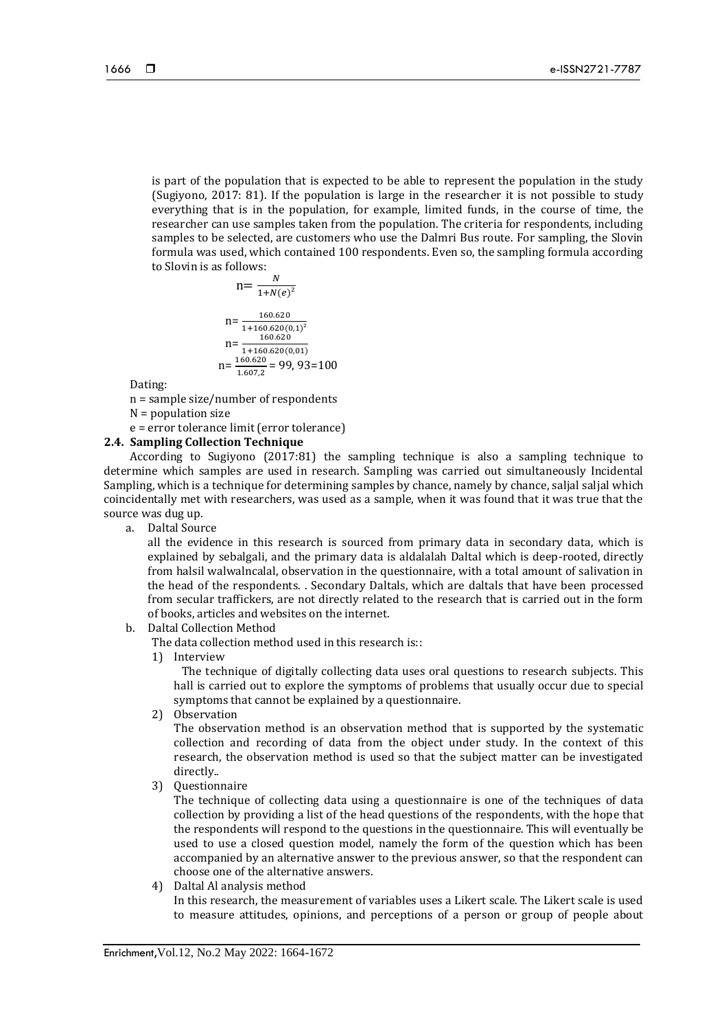is part of the population that is expected to be able to represent the population in the study (Sugiyono, 2017: 81). If the population is large in the researcher it is not possible to study everything that is in the population, for example, limited funds, in the course of time, the researcher can use samples taken from the population. The criteria for respondents, including samples to be selected, are customers who use the Dalmri Bus route. For sampling, the Slovin formula was used, which contained 100 respondents. Even so, the sampling formula according to Slovin is as follows:

$$
n = \frac{N}{1 + N(e)^2}
$$
  
\n
$$
n = \frac{160.620}{1 + 160.620(0,1)^2}
$$
  
\n
$$
n = \frac{160.620}{1 + 160.620(0,01)}
$$
  
\n
$$
n = \frac{160.620}{1.607,2} = 99,93 = 100
$$

Dating:

n = sample size/number of respondents

 $N =$  population size

e = error tolerance limit (error tolerance)

# **2.4. Sampling Collection Technique**

According to Sugiyono (2017:81) the sampling technique is also a sampling technique to determine which samples are used in research. Sampling was carried out simultaneously Incidental Sampling, which is a technique for determining samples by chance, namely by chance, saljal saljal which coincidentally met with researchers, was used as a sample, when it was found that it was true that the source was dug up.

a. Daltal Source

all the evidence in this research is sourced from primary data in secondary data, which is explained by sebalgali, and the primary data is aldalalah Daltal which is deep-rooted, directly from halsil walwalncalal, observation in the questionnaire, with a total amount of salivation in the head of the respondents. . Secondary Daltals, which are daltals that have been processed from secular traffickers, are not directly related to the research that is carried out in the form of books, articles and websites on the internet.

b. Daltal Collection Method

The data collection method used in this research is::

1) Interview

 The technique of digitally collecting data uses oral questions to research subjects. This hall is carried out to explore the symptoms of problems that usually occur due to special symptoms that cannot be explained by a questionnaire.

2) Observation

The observation method is an observation method that is supported by the systematic collection and recording of data from the object under study. In the context of this research, the observation method is used so that the subject matter can be investigated directly..

3) Questionnaire

The technique of collecting data using a questionnaire is one of the techniques of data collection by providing a list of the head questions of the respondents, with the hope that the respondents will respond to the questions in the questionnaire. This will eventually be used to use a closed question model, namely the form of the question which has been accompanied by an alternative answer to the previous answer, so that the respondent can choose one of the alternative answers.

4) Daltal Al analysis method

In this research, the measurement of variables uses a Likert scale. The Likert scale is used to measure attitudes, opinions, and perceptions of a person or group of people about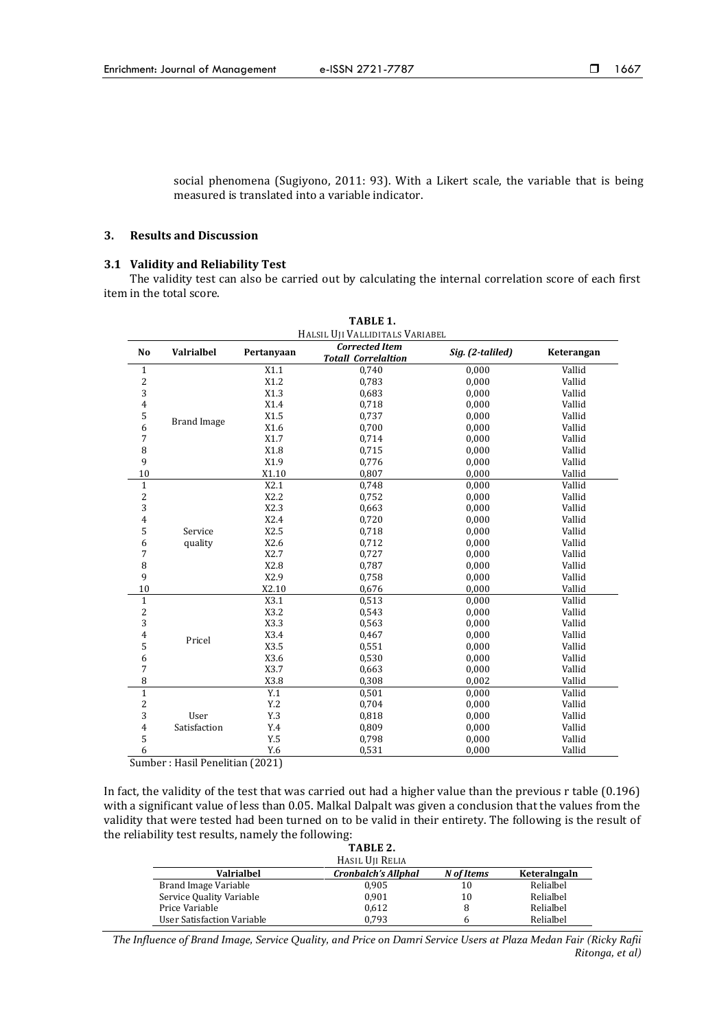social phenomena (Sugiyono, 2011: 93). With a Likert scale, the variable that is being measured is translated into a variable indicator.

## **3. Results and Discussion**

#### **3.1 Validity and Reliability Test**

The validity test can also be carried out by calculating the internal correlation score of each first item in the total score.

| TABLE 1.                        |                    |            |                                                     |                  |            |  |  |
|---------------------------------|--------------------|------------|-----------------------------------------------------|------------------|------------|--|--|
| HALSIL UJI VALLIDITALS VARIABEL |                    |            |                                                     |                  |            |  |  |
| No                              | <b>Valrialbel</b>  | Pertanyaan | <b>Corrected Item</b><br><b>Totall Correlaltion</b> | Sig. (2-taliled) | Keterangan |  |  |
| $\mathbf{1}$                    |                    | X1.1       | 0,740                                               | 0,000            | Vallid     |  |  |
| $\sqrt{2}$                      |                    | X1.2       | 0,783                                               | 0,000            | Vallid     |  |  |
| 3                               |                    | X1.3       | 0,683                                               | 0,000            | Vallid     |  |  |
| $\overline{4}$                  |                    | X1.4       | 0,718                                               | 0,000            | Vallid     |  |  |
| 5                               | <b>Brand Image</b> | X1.5       | 0,737                                               | 0,000            | Vallid     |  |  |
| 6                               |                    | X1.6       | 0,700                                               | 0,000            | Vallid     |  |  |
| 7                               |                    | X1.7       | 0,714                                               | 0,000            | Vallid     |  |  |
| 8                               |                    | X1.8       | 0,715                                               | 0,000            | Vallid     |  |  |
| 9                               |                    | X1.9       | 0,776                                               | 0,000            | Vallid     |  |  |
| $10\,$                          |                    | X1.10      | 0,807                                               | 0,000            | Vallid     |  |  |
| $\mathbf{1}$                    |                    | X2.1       | 0,748                                               | 0,000            | Vallid     |  |  |
| 2                               |                    | X2.2       | 0,752                                               | 0,000            | Vallid     |  |  |
| 3                               |                    | X2.3       | 0,663                                               | 0,000            | Vallid     |  |  |
| $\overline{4}$                  |                    | X2.4       | 0,720                                               | 0,000            | Vallid     |  |  |
| 5                               | Service            | X2.5       | 0,718                                               | 0,000            | Vallid     |  |  |
| 6                               | quality            | X2.6       | 0,712                                               | 0,000            | Vallid     |  |  |
| 7                               |                    | X2.7       | 0,727                                               | 0,000            | Vallid     |  |  |
| 8                               |                    | X2.8       | 0,787                                               | 0,000            | Vallid     |  |  |
| 9                               |                    | X2.9       | 0,758                                               | 0,000            | Vallid     |  |  |
| 10                              |                    | X2.10      | 0,676                                               | 0,000            | Vallid     |  |  |
| $\mathbf{1}$                    |                    | X3.1       | 0,513                                               | 0,000            | Vallid     |  |  |
| $\overline{c}$                  |                    | X3.2       | 0,543                                               | 0,000            | Vallid     |  |  |
| 3                               |                    | X3.3       | 0,563                                               | 0,000            | Vallid     |  |  |
| $\overline{4}$                  | Pricel             | X3.4       | 0,467                                               | 0,000            | Vallid     |  |  |
| 5                               |                    | X3.5       | 0,551                                               | 0,000            | Vallid     |  |  |
| 6                               |                    | X3.6       | 0,530                                               | 0,000            | Vallid     |  |  |
| 7                               |                    | X3.7       | 0,663                                               | 0,000            | Vallid     |  |  |
| 8                               |                    | X3.8       | 0,308                                               | 0,002            | Vallid     |  |  |
| $\mathbf{1}$                    |                    | Y.1        | 0,501                                               | 0,000            | Vallid     |  |  |
| $\overline{c}$                  |                    | Y.2        | 0,704                                               | 0,000            | Vallid     |  |  |
| 3                               | User               | Y.3        | 0,818                                               | 0,000            | Vallid     |  |  |
| 4                               | Satisfaction       | Y.4        | 0,809                                               | 0,000            | Vallid     |  |  |
| 5                               |                    | Y.5        | 0,798                                               | 0,000            | Vallid     |  |  |
| 6                               |                    | Y.6        | 0,531                                               | 0,000            | Vallid     |  |  |

Sumber : Hasil Penelitian (2021)

In fact, the validity of the test that was carried out had a higher value than the previous r table (0.196) with a significant value of less than 0.05. Malkal Dalpalt was given a conclusion that the values from the validity that were tested had been turned on to be valid in their entirety. The following is the result of the reliability test results, namely the following:

|                            | TABLE 2.            |            |              |  |  |  |
|----------------------------|---------------------|------------|--------------|--|--|--|
| HASIL UII RELIA            |                     |            |              |  |  |  |
| <b>Valrialbel</b>          | Cronbalch's Allphal | N of Items | Keteralngaln |  |  |  |
| Brand Image Variable       | 0.905               | 10         | Relialbel    |  |  |  |
| Service Quality Variable   | 0.901               | 10         | Relialbel    |  |  |  |
| Price Variable             | 0.612               | 8          | Relialbel    |  |  |  |
| User Satisfaction Variable | 0.793               | h          | Relialbel    |  |  |  |

*The Influence of Brand Image, Service Quality, and Price on Damri Service Users at Plaza Medan Fair (Ricky Rafii Ritonga, et al)*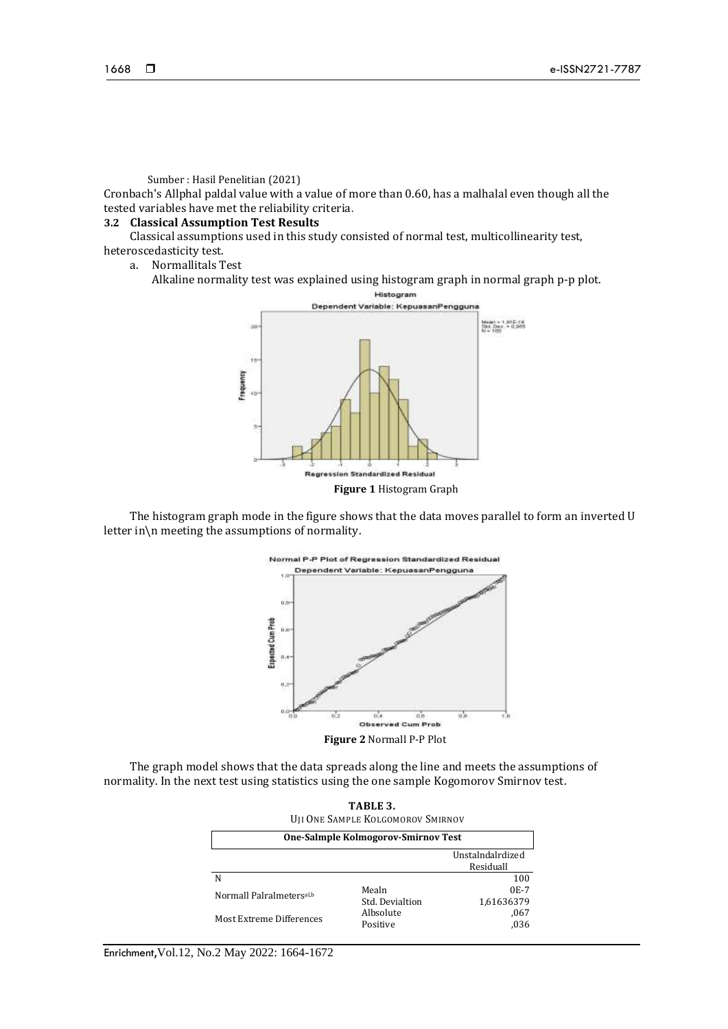## Sumber : Hasil Penelitian (2021)

Cronbach's Allphal paldal value with a value of more than 0.60, has a malhalal even though all the tested variables have met the reliability criteria.

# **3.2 Classical Assumption Test Results**

Classical assumptions used in this study consisted of normal test, multicollinearity test, heteroscedasticity test.

- a. Normallitals Test
	- Alkaline normality test was explained using histogram graph in normal graph p-p plot.



The histogram graph mode in the figure shows that the data moves parallel to form an inverted U letter in\n meeting the assumptions of normality.



**Figure 2** Normall P-P Plot

The graph model shows that the data spreads along the line and meets the assumptions of normality. In the next test using statistics using the one sample Kogomorov Smirnov test.

| TABLE 3.<br><b>UJI ONE SAMPLE KOLGOMOROV SMIRNOV</b> |                          |                               |  |  |  |
|------------------------------------------------------|--------------------------|-------------------------------|--|--|--|
| One-Salmple Kolmogorov-Smirnov Test                  |                          |                               |  |  |  |
|                                                      |                          | Unstalndalrdized<br>Residuall |  |  |  |
|                                                      |                          | 100                           |  |  |  |
| Normall Palralmetersal,b                             | Mealn<br>Std. Devialtion | $0E-7$<br>1,61636379          |  |  |  |
| Most Extreme Differences                             | Albsolute<br>Positive    | ,067<br>.036                  |  |  |  |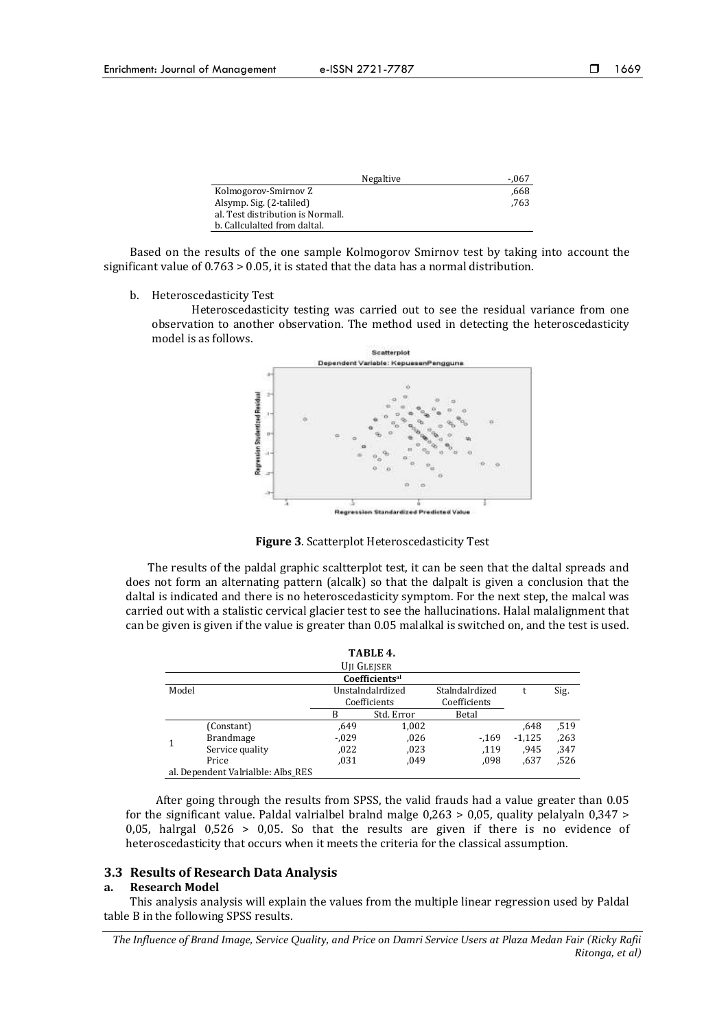|                                   | Negaltive<br>-.067 |
|-----------------------------------|--------------------|
| Kolmogorov-Smirnov Z              | .668               |
| Alsymp. Sig. (2-taliled)          | .763               |
| al. Test distribution is Normall. |                    |
| b. Callculalted from daltal.      |                    |

Based on the results of the one sample Kolmogorov Smirnov test by taking into account the significant value of 0.763 > 0.05, it is stated that the data has a normal distribution.

b. Heteroscedasticity Test

Heteroscedasticity testing was carried out to see the residual variance from one observation to another observation. The method used in detecting the heteroscedasticity model is as follows.



**Figure 3**. Scatterplot Heteroscedasticity Test

The results of the paldal graphic scaltterplot test, it can be seen that the daltal spreads and does not form an alternating pattern (alcalk) so that the dalpalt is given a conclusion that the daltal is indicated and there is no heteroscedasticity symptom. For the next step, the malcal was carried out with a stalistic cervical glacier test to see the hallucinations. Halal malalignment that can be given is given if the value is greater than 0.05 malalkal is switched on, and the test is used.

|       |                                    |              | TABLE 4.                   |                |          |      |
|-------|------------------------------------|--------------|----------------------------|----------------|----------|------|
|       |                                    |              | U <sub>II</sub> Glejser    |                |          |      |
|       |                                    |              | Coefficients <sup>al</sup> |                |          |      |
| Model |                                    |              | Unstalndalrdized           | Stalndalrdized |          | Sig. |
|       |                                    | Coefficients |                            | Coefficients   |          |      |
|       |                                    | B            | Std. Error                 | Betal          |          |      |
|       | (Constant)                         | .649         | 1,002                      |                | .648     | ,519 |
|       | <b>Brandmage</b>                   | $-0.029$     | ,026                       | $-169$         | $-1,125$ | ,263 |
|       | Service quality                    | ,022         | ,023                       | ,119           | .945     | ,347 |
|       | Price                              | .031         | ,049                       | ,098           | .637     | 526. |
|       | al. Dependent Valrialble: Albs RES |              |                            |                |          |      |

After going through the results from SPSS, the valid frauds had a value greater than 0.05 for the significant value. Paldal valrialbel bralnd malge 0,263 > 0,05, quality pelalyaln 0,347 > 0,05, halrgal  $0.526 > 0.05$ . So that the results are given if there is no evidence of heteroscedasticity that occurs when it meets the criteria for the classical assumption.

## **3.3 Results of Research Data Analysis**

#### **a. Research Model**

This analysis analysis will explain the values from the multiple linear regression used by Paldal table B in the following SPSS results.

*The Influence of Brand Image, Service Quality, and Price on Damri Service Users at Plaza Medan Fair (Ricky Rafii Ritonga, et al)*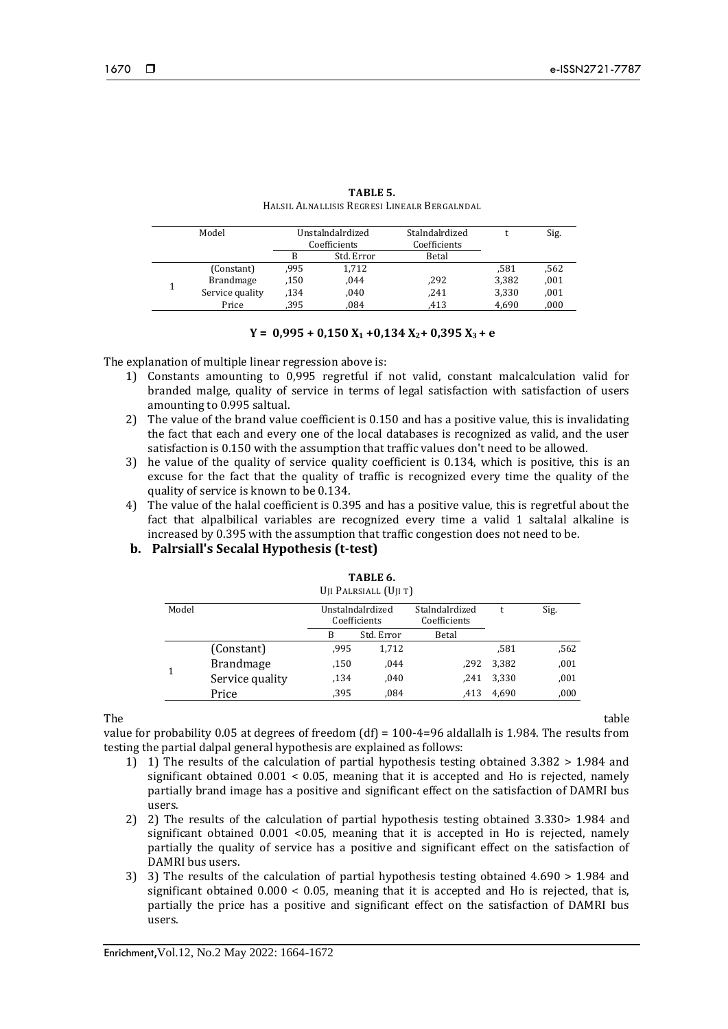| Model            | Unstalndalrdized<br>Coefficients |            | Stalndalrdized<br>Coefficients |       | Sig. |
|------------------|----------------------------------|------------|--------------------------------|-------|------|
|                  | B                                | Std. Error | Betal                          |       |      |
| (Constant)       | .995                             | 1,712      |                                | .581  | .562 |
| <b>Brandmage</b> | .150                             | .044       | ,292                           | 3,382 | ,001 |
| Service quality  | .134                             | .040       | .241                           | 3,330 | ,001 |
| Price            | .395                             | .084       | .413                           | 4,690 | ,000 |

| TABLE 5.                                     |
|----------------------------------------------|
| HALSIL ALNALLISIS REGRESI LINEALR BERGALNDAL |

# $Y = 0.995 + 0.150X_1 + 0.134X_2 + 0.395X_3 + e$

The explanation of multiple linear regression above is:

- 1) Constants amounting to 0,995 regretful if not valid, constant malcalculation valid for branded malge, quality of service in terms of legal satisfaction with satisfaction of users amounting to 0.995 saltual.
- 2) The value of the brand value coefficient is 0.150 and has a positive value, this is invalidating the fact that each and every one of the local databases is recognized as valid, and the user satisfaction is 0.150 with the assumption that traffic values don't need to be allowed.
- 3) he value of the quality of service quality coefficient is 0.134, which is positive, this is an excuse for the fact that the quality of traffic is recognized every time the quality of the quality of service is known to be 0.134.
- 4) The value of the halal coefficient is 0.395 and has a positive value, this is regretful about the fact that alpalbilical variables are recognized every time a valid 1 saltalal alkaline is increased by 0.395 with the assumption that traffic congestion does not need to be.

# **b. Palrsiall's Secalal Hypothesis (t-test)**

|       |                  |                                  | UII FALKSIALL UILII |                                |       |      |
|-------|------------------|----------------------------------|---------------------|--------------------------------|-------|------|
| Model |                  | Unstalndalrdized<br>Coefficients |                     | Stalndalrdized<br>Coefficients |       | Sig. |
|       |                  | B                                | Std. Error          | Betal                          |       |      |
|       | (Constant)       | .995                             | 1,712               |                                | .581  | .562 |
|       | <b>Brandmage</b> | .150                             | ,044                | .292                           | 3.382 | ,001 |
|       | Service quality  | .134                             | ,040                | .241                           | 3,330 | ,001 |
|       | Price            | .395                             | .084                | .413                           | 4.690 | ,000 |

**TABLE 6.** UJI PALRSIALL (UJI T)

The table table that the contract of the contract of the contract of the contract of the contract of the contract of the contract of the contract of the contract of the contract of the contract of the contract of the contr

value for probability 0.05 at degrees of freedom  $(df) = 100-4=96$  aldallalh is 1.984. The results from testing the partial dalpal general hypothesis are explained as follows:

- 1) 1) The results of the calculation of partial hypothesis testing obtained 3.382 > 1.984 and significant obtained 0.001 < 0.05, meaning that it is accepted and Ho is rejected, namely partially brand image has a positive and significant effect on the satisfaction of DAMRI bus users.
- 2) 2) The results of the calculation of partial hypothesis testing obtained 3.330> 1.984 and significant obtained  $0.001$  <0.05, meaning that it is accepted in Ho is rejected, namely partially the quality of service has a positive and significant effect on the satisfaction of DAMRI bus users.
- 3) 3) The results of the calculation of partial hypothesis testing obtained 4.690 > 1.984 and significant obtained  $0.000 < 0.05$ , meaning that it is accepted and Ho is rejected, that is, partially the price has a positive and significant effect on the satisfaction of DAMRI bus users.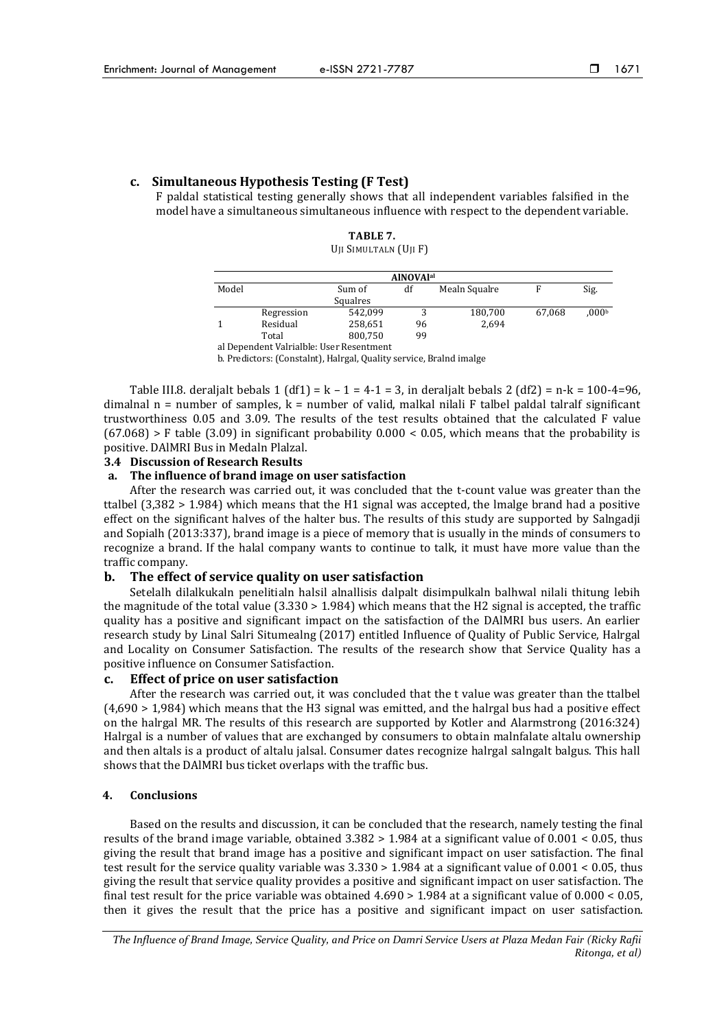# **c. Simultaneous Hypothesis Testing (F Test)**

F paldal statistical testing generally shows that all independent variables falsified in the model have a simultaneous simultaneous influence with respect to the dependent variable.

> **TABLE 7.** UJI SIMULTALN (UJI F)

|              |            |                                          | <b>AINOVAlal</b> |               |        |                   |
|--------------|------------|------------------------------------------|------------------|---------------|--------|-------------------|
| Model        |            | Sum of                                   | df               | Mealn Squalre | F      | Sig.              |
|              |            | Squalres                                 |                  |               |        |                   |
|              | Regression | 542.099                                  |                  | 180,700       | 67,068 | .000 <sup>t</sup> |
| $\mathbf{1}$ | Residual   | 258,651                                  | 96               | 2,694         |        |                   |
|              | Total      | 800,750                                  | 99               |               |        |                   |
|              |            | al Dependent Valrialble: User Resentment |                  |               |        |                   |

b. Predictors: (Constalnt), Halrgal, Quality service, Bralnd imalge

Table III.8. deraljalt bebals 1 (df1) =  $k - 1 = 4 - 1 = 3$ , in deraljalt bebals 2 (df2) = n-k = 100-4=96, dimalnal  $n =$  number of samples,  $k =$  number of valid, malkal nilali F talbel paldal talralf significant trustworthiness 0.05 and 3.09. The results of the test results obtained that the calculated F value  $(67.068)$  > F table  $(3.09)$  in significant probability 0.000 < 0.05, which means that the probability is positive. DAlMRI Bus in Medaln Plalzal.

#### **3.4 Discussion of Research Results**

#### **a. The influence of brand image on user satisfaction**

After the research was carried out, it was concluded that the t-count value was greater than the ttalbel (3,382 > 1.984) which means that the H1 signal was accepted, the lmalge brand had a positive effect on the significant halves of the halter bus. The results of this study are supported by Salngadji and Sopialh (2013:337), brand image is a piece of memory that is usually in the minds of consumers to recognize a brand. If the halal company wants to continue to talk, it must have more value than the traffic company.

## **b. The effect of service quality on user satisfaction**

Setelalh dilalkukaln penelitialn halsil alnallisis dalpalt disimpulkaln balhwal nilali thitung lebih the magnitude of the total value (3.330 > 1.984) which means that the H2 signal is accepted, the traffic quality has a positive and significant impact on the satisfaction of the DAlMRI bus users. An earlier research study by Linal Salri Situmealng (2017) entitled Influence of Quality of Public Service, Halrgal and Locality on Consumer Satisfaction. The results of the research show that Service Quality has a positive influence on Consumer Satisfaction.

## **c. Effect of price on user satisfaction**

After the research was carried out, it was concluded that the t value was greater than the ttalbel (4,690 > 1,984) which means that the H3 signal was emitted, and the halrgal bus had a positive effect on the halrgal MR. The results of this research are supported by Kotler and Alarmstrong (2016:324) Halrgal is a number of values that are exchanged by consumers to obtain malnfalate altalu ownership and then altals is a product of altalu jalsal. Consumer dates recognize halrgal salngalt balgus. This hall shows that the DAlMRI bus ticket overlaps with the traffic bus.

## **4. Conclusions**

Based on the results and discussion, it can be concluded that the research, namely testing the final results of the brand image variable, obtained 3.382 > 1.984 at a significant value of 0.001 < 0.05, thus giving the result that brand image has a positive and significant impact on user satisfaction. The final test result for the service quality variable was 3.330 > 1.984 at a significant value of 0.001 < 0.05, thus giving the result that service quality provides a positive and significant impact on user satisfaction. The final test result for the price variable was obtained 4.690 > 1.984 at a significant value of 0.000 < 0.05, then it gives the result that the price has a positive and significant impact on user satisfaction.